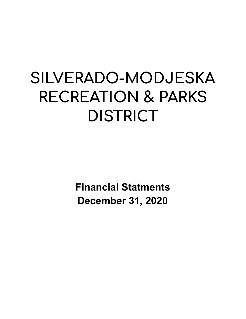# **SILVERADO-MODJESKA RECREATION & PARKS DISTRICT**

**Financial Statments December 31, 2020**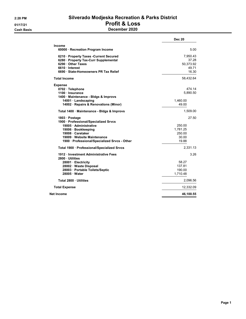# 2:28 PM Silverado Modjeska Recreation & Parks District 01/17/21 Profit & Loss Cash Basis December 2020

|                                                       | <b>Dec 20</b> |
|-------------------------------------------------------|---------------|
| <b>Income</b><br>60000 · Recreation Program Income    | 5.00          |
| 6210 · Property Taxes -Current Secured                | 7,950.43      |
| 6280 · Property Tax-Curr Supplemental                 | 37.28         |
| 6290 Other Taxes                                      | 50,373.92     |
| 6610 Interest                                         | 49.71         |
| 6690 · State-Homeowners PR Tax Relief                 | 16.30         |
| <b>Total Income</b>                                   | 58,432.64     |
| <b>Expense</b>                                        |               |
| 0702 · Telephone                                      | 474.14        |
| 1100 · Insurance                                      | 5,890.50      |
| 1400 · Maintenance - Bldgs & Improvs                  |               |
| 14001 · Landscaping                                   | 1,460.00      |
| 14002 · Repairs & Renovations (Minor)                 | 49.00         |
| Total 1400 · Maintenance - Bldgs & Improvs            | 1,509.00      |
| 1803 · Postage                                        | 27.50         |
| 1900 · Professional/Specialized Srvcs                 |               |
| 19005 · Administrative                                | 250.00        |
| 19006 · Bookkeeping                                   | 1.781.25      |
| 19008 Caretaker                                       | 250.00        |
| 19009 Website Maintenance                             | 30.00         |
| 1900 · Professional/Specialized Srvcs - Other         | 19.88         |
| Total 1900 · Professional/Specialized Srvcs           | 2,331.13      |
| 1912 Investment Administrative Fees<br>2800 Utilities | 3.26          |
| 28001 Electricity                                     | 58.27         |
| 28002 · Waste Disposal                                | 137.81        |
| 28003 · Portable Toilets/Septic                       | 190.00        |
| 28005 Water                                           | 1,710.48      |
| Total 2800 Utilities                                  | 2,096.56      |
| <b>Total Expense</b>                                  | 12,332.09     |
| Net Income                                            | 46,100.55     |
|                                                       |               |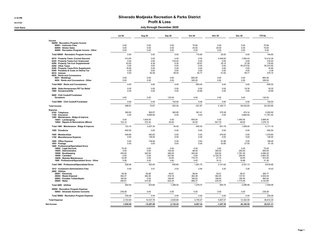## 2:18 PM 01/17/21 **Profit & Loss**

### Cash Basis July through December 2020

|                                                                                                                                                                                                                                                                                      | <b>Jul 20</b>                                            | Aug 20                                                | Sep 20                                                  | <b>Oct 20</b>                                          | <b>Nov 20</b>                                              | <b>Dec 20</b>                                                   | <b>TOTAL</b>                                                          |
|--------------------------------------------------------------------------------------------------------------------------------------------------------------------------------------------------------------------------------------------------------------------------------------|----------------------------------------------------------|-------------------------------------------------------|---------------------------------------------------------|--------------------------------------------------------|------------------------------------------------------------|-----------------------------------------------------------------|-----------------------------------------------------------------------|
| Income<br>60000 · Recreation Program Income                                                                                                                                                                                                                                          |                                                          |                                                       |                                                         |                                                        |                                                            |                                                                 |                                                                       |
| 60001 · Instructor Fees<br>60005 · Sticker Sales<br>60000 · Recreation Program Income - Other                                                                                                                                                                                        | 0.00<br>0.00<br>0.00                                     | 0.00<br>0.00<br>0.00                                  | 0.00<br>0.00<br>0.00                                    | 70.80<br>45.00<br>0.00                                 | 0.00<br>25.00<br>0.00                                      | 0.00<br>0.00<br>5.00                                            | 70.80<br>70.00<br>5.00                                                |
| Total 60000 · Recreation Program Income                                                                                                                                                                                                                                              | 0.00                                                     | 0.00                                                  | 0.00                                                    | 115.80                                                 | 25.00                                                      | 5.00                                                            | 145.80                                                                |
| 6210 · Property Taxes -Current Secured<br>6220 · Property Taxes-Curr Unsecured<br>6280 · Property Tax-Curr Supplemental<br>6290 · Other Taxes<br>6300 · Property Taxes-Prior Supplement<br>6540 · Penalties & Costs on Deling Tax<br>6610 · Interest<br>6620 · Rents and Concessions | 413.65<br>0.00<br>63.83<br>0.00<br>16.95<br>4.38<br>0.00 | 0.00<br>0.00<br>8.38<br>0.00<br>0.00<br>0.00<br>62.29 | 0.00<br>318.40<br>6.30<br>0.00<br>0.00<br>0.00<br>58.54 | 0.00<br>0.00<br>25.67<br>0.00<br>0.00<br>0.00<br>52.77 | 4,048.20<br>0.00<br>35.14<br>0.00<br>0.00<br>0.00<br>51.83 | 7,950.43<br>0.00<br>37.28<br>50,373.92<br>0.00<br>0.00<br>49.71 | 12,412.28<br>318.40<br>176.60<br>50,373.92<br>16.95<br>4.38<br>275.14 |
| $6621 \cdot W$ eddings<br>6620 · Rents and Concessions - Other                                                                                                                                                                                                                       | 0.00<br>0.00                                             | 0.00<br>0.00                                          | 0.00<br>0.00                                            | $-900.00$<br>350.00                                    | 0.00<br>0.00                                               | 0.00<br>0.00                                                    | $-900.00$<br>350.00                                                   |
| Total 6620 · Rents and Concessions                                                                                                                                                                                                                                                   | 0.00                                                     | 0.00                                                  | 0.00                                                    | $-550.00$                                              | 0.00                                                       | 0.00                                                            | $-550.00$                                                             |
| 6690 · State-Homeowners PR Tax Relief<br>7960 · Donations/Gifts                                                                                                                                                                                                                      | 0.00<br>0.00                                             | 0.00<br>0.00                                          | 0.00<br>0.00                                            | 0.00<br>33.89                                          | 0.00<br>0.00                                               | 16.30<br>0.00                                                   | 16.30<br>33.89                                                        |
| 9000 · Chili Cookoff Fundraiser<br><b>Donations</b>                                                                                                                                                                                                                                  | 0.00                                                     | 0.00                                                  | 120.00                                                  | 0.00                                                   | 0.00                                                       | 0.00                                                            | 120.00                                                                |
| Total 9000 · Chili Cookoff Fundraiser                                                                                                                                                                                                                                                | 0.00                                                     | 0.00                                                  | 120.00                                                  | 0.00                                                   | 0.00                                                       | 0.00                                                            | 120.00                                                                |
| <b>Total Income</b>                                                                                                                                                                                                                                                                  | 498.81                                                   | 70.67                                                 | 503.24                                                  | $-321.87$                                              | 4,160.17                                                   | 58,432.64                                                       | 63,343.66                                                             |
| <b>Expense</b><br>0702 · Telephone<br>1100 · Insurance<br>1400 · Maintenance - Bldgs & Improvs<br>14001 · Landscaping<br>14002 · Repairs & Renovations (Minor)                                                                                                                       | 360.62<br>0.00<br>0.00<br>123.10                         | 360.57<br>5,890.50<br>1,835.00<br>372.30              | 360.80<br>0.00<br>0.00<br>40.00                         | 361.41<br>0.00<br>600.00<br>40.00                      | 375.38<br>0.00<br>0.00<br>651.79                           | 474.14<br>5,890.50<br>1,460.00<br>49.00                         | 2.292.92<br>11,781.00<br>3,895.00<br>1.276.19                         |
| Total 1400 · Maintenance - Bldgs & Improvs                                                                                                                                                                                                                                           | 123.10                                                   | 2,207.30                                              | 40.00                                                   | 640.00                                                 | 651.79                                                     | 1,509.00                                                        | 5,171.19                                                              |
| 1500 · Donations                                                                                                                                                                                                                                                                     | $-450.00$                                                | 0.00                                                  | 0.00                                                    | 0.00                                                   | 0.00                                                       | 0.00                                                            | $-450.00$                                                             |
| 1600 · Memberships<br>1700 · Miscellaneous Expense                                                                                                                                                                                                                                   | 449.80<br>0.00                                           | 350.00<br>136.00                                      | 0.00<br>0.00                                            | 0.00<br>0.00                                           | 479.00<br>0.00                                             | 0.00<br>0.00                                                    | 1,278.80<br>136.00                                                    |
| 1800 · Office Expense<br>1803 · Postage<br>1900 · Professional/Specialized Srvcs                                                                                                                                                                                                     | 0.00<br>0.00                                             | 136.58<br>0.00                                        | 0.00<br>0.00                                            | 0.00<br>0.00                                           | 61.88<br>53.85                                             | 0.00<br>27.50                                                   | 198.46<br>81.35                                                       |
| 19002 · Legal Services<br>19005 · Administrative<br>19006 · Bookkeeping<br>19008 · Caretaker<br>19009 · Website Maintenance<br>1900 · Professional/Specialized Srvcs - Other                                                                                                         | 75.00<br>0.00<br>420.00<br>0.00<br>33.00<br>0.56         | 0.00<br>0.00<br>420.00<br>0.00<br>0.00<br>0.00        | 0.00<br>154.00<br>490.00<br>247.50<br>43.50<br>0.80     | 0.00<br>66.00<br>420.00<br>0.00<br>775.75<br>0.00      | 0.00<br>385.00<br>525.00<br>2,193.75<br>27.75<br>10.12     | 0.00<br>250.00<br>1,781.25<br>250.00<br>30.00<br>19.88          | 75.00<br>855.00<br>4,056.25<br>2,691.25<br>910.00<br>31.36            |
| Total 1900 · Professional/Specialized Srvcs                                                                                                                                                                                                                                          | 528.56                                                   | 420.00                                                | 935.80                                                  | 1,261.75                                               | 3.141.62                                                   | 2,331.13                                                        | 8.618.86                                                              |
| 1912 · Investment Administrative Fees<br>2800 · Utilities<br>28001 · Electricity<br>28002 · Waste Disposal<br>28003 · Portable Toilets/Septic<br>28005 · Water                                                                                                                       | 0.00<br>59.36<br>362.37<br>190.00<br>290.81              | 3.01<br>55.88<br>362.36<br>0.00<br>415.56             | 3.02<br>65.61<br>416.19<br>190.00<br>624.24             | 2.94<br>58.64<br>362.36<br>190.00<br>868.37            | 3.20<br>53.01<br>362.35<br>190.00<br>235.39                | 3.26<br>58.27<br>137.81<br>190.00<br>1,710.48                   | 15.43<br>350.77<br>2,003.44<br>950.00<br>4,144.85                     |
| Total 2800 · Utilities                                                                                                                                                                                                                                                               | 902.54                                                   | 833.80                                                | 1,296.04                                                | 1,479.37                                               | 840.75                                                     | 2,096.56                                                        | 7,449.06                                                              |
| 50000 · Recreation Program Expense<br>50003 · Silverado Summer Concerts                                                                                                                                                                                                              | 239.28                                                   | 0.00                                                  | 0.00                                                    | 0.00                                                   | 0.00                                                       | 0.00                                                            | 239.28                                                                |
| Total 50000 · Recreation Program Expense                                                                                                                                                                                                                                             | 239.28                                                   | 0.00                                                  | 0.00                                                    | 0.00                                                   | 0.00                                                       | 0.00                                                            | 239.28                                                                |
| <b>Total Expense</b>                                                                                                                                                                                                                                                                 | 2,153.90                                                 | 10,337.76                                             | 2,635.66                                                | 3,745.47                                               | 5,607.47                                                   | 12,332.09                                                       | 36,812.35                                                             |
| Net Income                                                                                                                                                                                                                                                                           | $-1,655.09$                                              | $-10,267.09$                                          | $-2,132.42$                                             | $-4,067.34$                                            | $-1,447.30$                                                | 46,100.55                                                       | 26,531.31                                                             |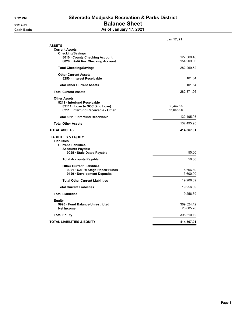# 2:22 PM Silverado Modjeska Recreation & Parks District 01/17/21 **Balance Sheet** Cash Basis **As of January 17, 2021**

|                                                                                                                                              | Jan 17, 21               |
|----------------------------------------------------------------------------------------------------------------------------------------------|--------------------------|
| <b>ASSETS</b><br><b>Current Assets</b><br><b>Checking/Savings</b>                                                                            |                          |
| 8010 · County Checking Account<br>8020 · BofA Rec Checking Account                                                                           | 127,360.46<br>154,909.06 |
| <b>Total Checking/Savings</b>                                                                                                                | 282,269.52               |
| <b>Other Current Assets</b><br>8250 · Interest Receivable                                                                                    | 101.54                   |
| <b>Total Other Current Assets</b>                                                                                                            | 101.54                   |
| <b>Total Current Assets</b>                                                                                                                  | 282,371.06               |
| <b>Other Assets</b><br>8211 Interfund Receivable<br>82111 · Loan to SCC (2nd Loan)<br>8211 · Interfund Receivable - Other                    | 66,447.95<br>66,048.00   |
| Total 8211 Interfund Receivable                                                                                                              | 132,495.95               |
| <b>Total Other Assets</b>                                                                                                                    | 132,495.95               |
| <b>TOTAL ASSETS</b>                                                                                                                          | 414,867.01               |
| <b>LIABILITIES &amp; EQUITY</b><br><b>Liabilities</b><br><b>Current Liabilities</b><br><b>Accounts Payable</b><br>9025 · Stale Dated Payable | 50.00                    |
| <b>Total Accounts Payable</b>                                                                                                                | 50.00                    |
| <b>Other Current Liabilities</b><br>9001 · CAPRI Stage Repair Funds<br>9120 · Development Deposits                                           | 5,606.89<br>13,600.00    |
| <b>Total Other Current Liabilities</b>                                                                                                       | 19,206.89                |
| <b>Total Current Liabilities</b>                                                                                                             | 19,256.89                |
| <b>Total Liabilities</b>                                                                                                                     | 19,256.89                |
| Equity<br>9990 Fund Balance-Unrestricted<br><b>Net Income</b>                                                                                | 369,524.42<br>26,085.70  |
| <b>Total Equity</b>                                                                                                                          | 395,610.12               |
| TOTAL LIABILITIES & EQUITY                                                                                                                   | 414,867.01               |
|                                                                                                                                              |                          |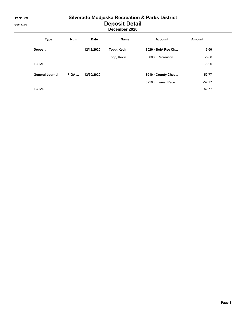# 12:31 PM Silverado Modjeska Recreation & Parks District 01/15/21 Deposit Detail

## December 2020

| <b>Type</b>            | <b>Num</b> | <b>Date</b> | Name        | <b>Account</b>           | <b>Amount</b> |
|------------------------|------------|-------------|-------------|--------------------------|---------------|
| <b>Deposit</b>         |            | 12/12/2020  | Topp, Kevin | 8020 BofA Rec Ch         | 5.00          |
|                        |            |             | Topp, Kevin | $60000 \cdot$ Recreation | $-5.00$       |
| <b>TOTAL</b>           |            |             |             |                          | $-5.00$       |
| <b>General Journal</b> | $F-GA$ -   | 12/30/2020  |             | 8010 County Chec         | 52.77         |
|                        |            |             |             | 8250 · Interest Rece     | $-52.77$      |
| <b>TOTAL</b>           |            |             |             |                          | $-52.77$      |

Page 1